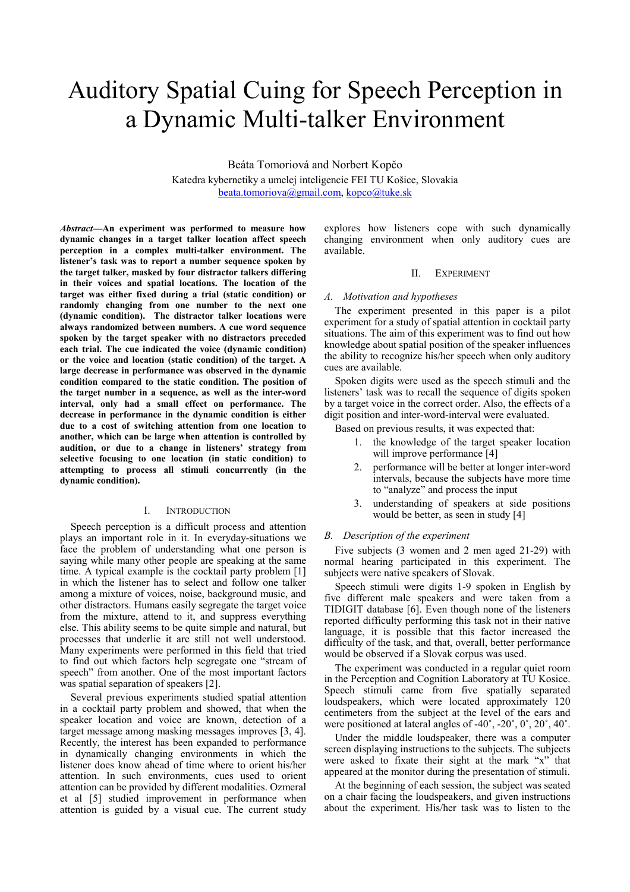# Auditory Spatial Cuing for Speech Perception in a Dynamic Multi-talker Environment

Beáta Tomoriová and Norbert Kopčo Katedra kybernetiky a umelej inteligencie FEI TU Košice, Slovakia beata.tomoriova@gmail.com, kopco@tuke.sk

Abstract—An experiment was performed to measure how dynamic changes in a target talker location affect speech perception in a complex multi-talker environment. The listener's task was to report a number sequence spoken by the target talker, masked by four distractor talkers differing in their voices and spatial locations. The location of the target was either fixed during a trial (static condition) or randomly changing from one number to the next one (dynamic condition). The distractor talker locations were always randomized between numbers. A cue word sequence spoken by the target speaker with no distractors preceded each trial. The cue indicated the voice (dynamic condition) or the voice and location (static condition) of the target. A large decrease in performance was observed in the dynamic condition compared to the static condition. The position of the target number in a sequence, as well as the inter-word interval, only had a small effect on performance. The decrease in performance in the dynamic condition is either due to a cost of switching attention from one location to another, which can be large when attention is controlled by audition, or due to a change in listeners' strategy from selective focusing to one location (in static condition) to attempting to process all stimuli concurrently (in the dynamic condition).

## I. INTRODUCTION

Speech perception is a difficult process and attention plays an important role in it. In everyday-situations we face the problem of understanding what one person is saying while many other people are speaking at the same time. A typical example is the cocktail party problem [1] in which the listener has to select and follow one talker among a mixture of voices, noise, background music, and other distractors. Humans easily segregate the target voice from the mixture, attend to it, and suppress everything else. This ability seems to be quite simple and natural, but processes that underlie it are still not well understood. Many experiments were performed in this field that tried to find out which factors help segregate one "stream of speech" from another. One of the most important factors was spatial separation of speakers [2].

Several previous experiments studied spatial attention in a cocktail party problem and showed, that when the speaker location and voice are known, detection of a target message among masking messages improves [3, 4]. Recently, the interest has been expanded to performance in dynamically changing environments in which the listener does know ahead of time where to orient his/her attention. In such environments, cues used to orient attention can be provided by different modalities. Ozmeral et al [5] studied improvement in performance when attention is guided by a visual cue. The current study explores how listeners cope with such dynamically changing environment when only auditory cues are available.

## II. EXPERIMENT

#### A. Motivation and hypotheses

The experiment presented in this paper is a pilot experiment for a study of spatial attention in cocktail party situations. The aim of this experiment was to find out how knowledge about spatial position of the speaker influences the ability to recognize his/her speech when only auditory cues are available.

Spoken digits were used as the speech stimuli and the listeners' task was to recall the sequence of digits spoken by a target voice in the correct order. Also, the effects of a digit position and inter-word-interval were evaluated.

Based on previous results, it was expected that:

- 1. the knowledge of the target speaker location will improve performance [4]
- 2. performance will be better at longer inter-word intervals, because the subjects have more time to "analyze" and process the input
- 3. understanding of speakers at side positions would be better, as seen in study [4]

#### B. Description of the experiment

Five subjects (3 women and 2 men aged 21-29) with normal hearing participated in this experiment. The subjects were native speakers of Slovak.

Speech stimuli were digits 1-9 spoken in English by five different male speakers and were taken from a TIDIGIT database [6]. Even though none of the listeners reported difficulty performing this task not in their native language, it is possible that this factor increased the difficulty of the task, and that, overall, better performance would be observed if a Slovak corpus was used.

The experiment was conducted in a regular quiet room in the Perception and Cognition Laboratory at TU Kosice. Speech stimuli came from five spatially separated loudspeakers, which were located approximately 120 centimeters from the subject at the level of the ears and were positioned at lateral angles of -40˚, -20˚, 0˚, 20˚, 40˚.

Under the middle loudspeaker, there was a computer screen displaying instructions to the subjects. The subjects were asked to fixate their sight at the mark "x" that appeared at the monitor during the presentation of stimuli.

At the beginning of each session, the subject was seated on a chair facing the loudspeakers, and given instructions about the experiment. His/her task was to listen to the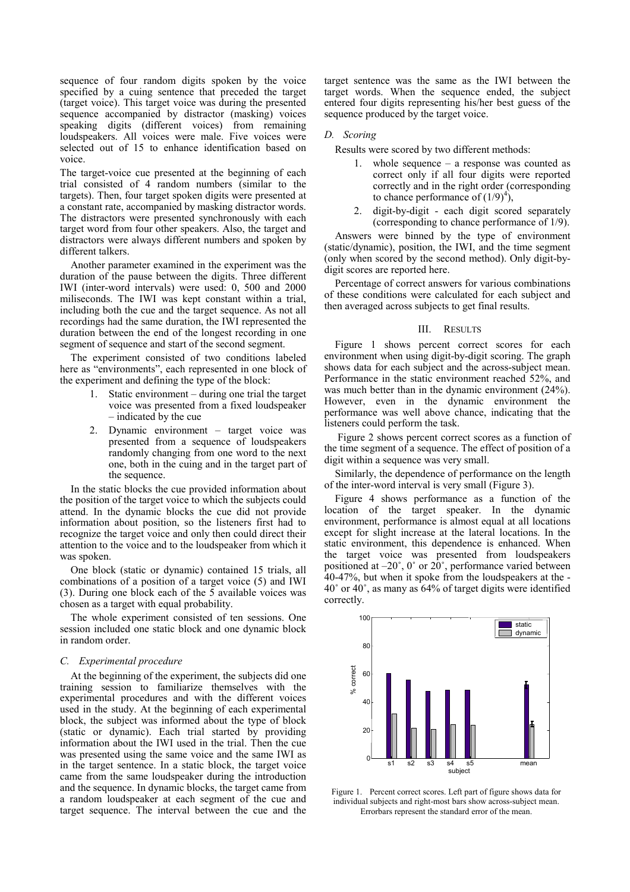sequence of four random digits spoken by the voice specified by a cuing sentence that preceded the target (target voice). This target voice was during the presented sequence accompanied by distractor (masking) voices speaking digits (different voices) from remaining loudspeakers. All voices were male. Five voices were selected out of 15 to enhance identification based on voice.

The target-voice cue presented at the beginning of each trial consisted of 4 random numbers (similar to the targets). Then, four target spoken digits were presented at a constant rate, accompanied by masking distractor words. The distractors were presented synchronously with each target word from four other speakers. Also, the target and distractors were always different numbers and spoken by different talkers.

Another parameter examined in the experiment was the duration of the pause between the digits. Three different IWI (inter-word intervals) were used: 0, 500 and 2000 miliseconds. The IWI was kept constant within a trial, including both the cue and the target sequence. As not all recordings had the same duration, the IWI represented the duration between the end of the longest recording in one segment of sequence and start of the second segment.

The experiment consisted of two conditions labeled here as "environments", each represented in one block of the experiment and defining the type of the block:

- 1. Static environment during one trial the target voice was presented from a fixed loudspeaker – indicated by the cue
- 2. Dynamic environment target voice was presented from a sequence of loudspeakers randomly changing from one word to the next one, both in the cuing and in the target part of the sequence.

In the static blocks the cue provided information about the position of the target voice to which the subjects could attend. In the dynamic blocks the cue did not provide information about position, so the listeners first had to recognize the target voice and only then could direct their attention to the voice and to the loudspeaker from which it was spoken.

One block (static or dynamic) contained 15 trials, all combinations of a position of a target voice (5) and IWI (3). During one block each of the 5 available voices was chosen as a target with equal probability.

The whole experiment consisted of ten sessions. One session included one static block and one dynamic block in random order.

## C. Experimental procedure

At the beginning of the experiment, the subjects did one training session to familiarize themselves with the experimental procedures and with the different voices used in the study. At the beginning of each experimental block, the subject was informed about the type of block (static or dynamic). Each trial started by providing information about the IWI used in the trial. Then the cue was presented using the same voice and the same IWI as in the target sentence. In a static block, the target voice came from the same loudspeaker during the introduction and the sequence. In dynamic blocks, the target came from a random loudspeaker at each segment of the cue and target sequence. The interval between the cue and the target sentence was the same as the IWI between the target words. When the sequence ended, the subject entered four digits representing his/her best guess of the sequence produced by the target voice.

#### D. Scoring

Results were scored by two different methods:

- 1. whole sequence a response was counted as correct only if all four digits were reported correctly and in the right order (corresponding to chance performance of  $(1/9)^4$ ),
- 2. digit-by-digit each digit scored separately (corresponding to chance performance of 1/9).

Answers were binned by the type of environment (static/dynamic), position, the IWI, and the time segment (only when scored by the second method). Only digit-bydigit scores are reported here.

Percentage of correct answers for various combinations of these conditions were calculated for each subject and then averaged across subjects to get final results.

## III. RESULTS

Figure 1 shows percent correct scores for each environment when using digit-by-digit scoring. The graph shows data for each subject and the across-subject mean. Performance in the static environment reached 52%, and was much better than in the dynamic environment (24%). However, even in the dynamic environment the performance was well above chance, indicating that the listeners could perform the task.

 Figure 2 shows percent correct scores as a function of the time segment of a sequence. The effect of position of a digit within a sequence was very small.

Similarly, the dependence of performance on the length of the inter-word interval is very small (Figure 3).

Figure 4 shows performance as a function of the location of the target speaker. In the dynamic environment, performance is almost equal at all locations except for slight increase at the lateral locations. In the static environment, this dependence is enhanced. When the target voice was presented from loudspeakers positioned at –20˚, 0˚ or 20˚, performance varied between 40-47%, but when it spoke from the loudspeakers at the - 40˚ or 40˚, as many as 64% of target digits were identified correctly.



Figure 1. Percent correct scores. Left part of figure shows data for individual subjects and right-most bars show across-subject mean. Errorbars represent the standard error of the mean.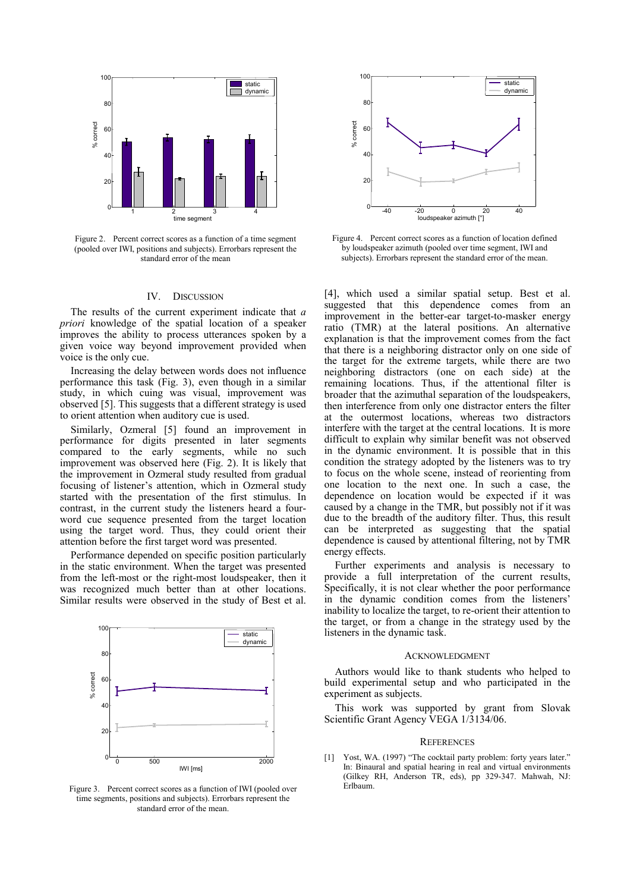

Figure 2. Percent correct scores as a function of a time segment (pooled over IWI, positions and subjects). Errorbars represent the standard error of the mean

## IV. DISCUSSION

The results of the current experiment indicate that a priori knowledge of the spatial location of a speaker improves the ability to process utterances spoken by a given voice way beyond improvement provided when voice is the only cue.

Increasing the delay between words does not influence performance this task (Fig. 3), even though in a similar study, in which cuing was visual, improvement was observed [5]. This suggests that a different strategy is used to orient attention when auditory cue is used.

Similarly, Ozmeral [5] found an improvement in performance for digits presented in later segments compared to the early segments, while no such improvement was observed here (Fig. 2). It is likely that the improvement in Ozmeral study resulted from gradual focusing of listener's attention, which in Ozmeral study started with the presentation of the first stimulus. In contrast, in the current study the listeners heard a fourword cue sequence presented from the target location using the target word. Thus, they could orient their attention before the first target word was presented.

Performance depended on specific position particularly in the static environment. When the target was presented from the left-most or the right-most loudspeaker, then it was recognized much better than at other locations. Similar results were observed in the study of Best et al.



Figure 3. Percent correct scores as a function of IWI (pooled over time segments, positions and subjects). Errorbars represent the standard error of the mean.



Figure 4. Percent correct scores as a function of location defined by loudspeaker azimuth (pooled over time segment, IWI and subjects). Errorbars represent the standard error of the mean.

[4], which used a similar spatial setup. Best et al. suggested that this dependence comes from an improvement in the better-ear target-to-masker energy ratio (TMR) at the lateral positions. An alternative explanation is that the improvement comes from the fact that there is a neighboring distractor only on one side of the target for the extreme targets, while there are two neighboring distractors (one on each side) at the remaining locations. Thus, if the attentional filter is broader that the azimuthal separation of the loudspeakers, then interference from only one distractor enters the filter at the outermost locations, whereas two distractors interfere with the target at the central locations. It is more difficult to explain why similar benefit was not observed in the dynamic environment. It is possible that in this condition the strategy adopted by the listeners was to try to focus on the whole scene, instead of reorienting from one location to the next one. In such a case, the dependence on location would be expected if it was caused by a change in the TMR, but possibly not if it was due to the breadth of the auditory filter. Thus, this result can be interpreted as suggesting that the spatial dependence is caused by attentional filtering, not by TMR energy effects.

Further experiments and analysis is necessary to provide a full interpretation of the current results, Specifically, it is not clear whether the poor performance in the dynamic condition comes from the listeners' inability to localize the target, to re-orient their attention to the target, or from a change in the strategy used by the listeners in the dynamic task.

#### ACKNOWLEDGMENT

Authors would like to thank students who helped to build experimental setup and who participated in the experiment as subjects.

This work was supported by grant from Slovak Scientific Grant Agency VEGA 1/3134/06.

#### **REFERENCES**

[1] Yost, WA. (1997) "The cocktail party problem: forty years later." In: Binaural and spatial hearing in real and virtual environments (Gilkey RH, Anderson TR, eds), pp 329-347. Mahwah, NJ: Erlbaum.